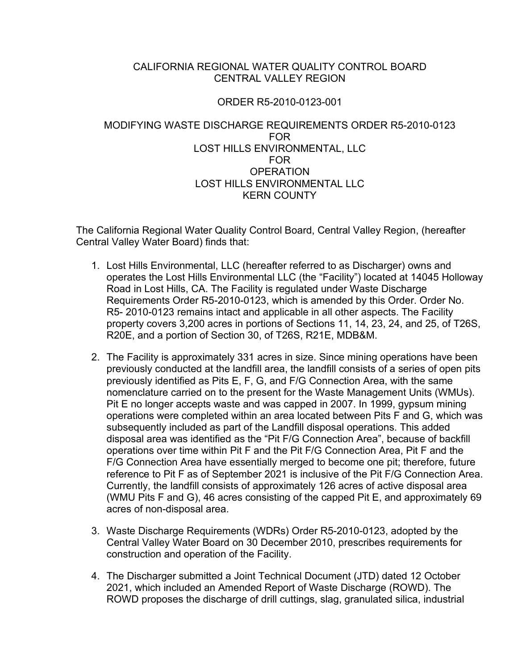### CALIFORNIA REGIONAL WATER QUALITY CONTROL BOARD CENTRAL VALLEY REGION

### ORDER R5-2010-0123-001

### MODIFYING WASTE DISCHARGE REQUIREMENTS ORDER R5-2010-0123 FOR LOST HILLS ENVIRONMENTAL, LLC FOR **OPERATION** LOST HILLS ENVIRONMENTAL LLC KERN COUNTY

The California Regional Water Quality Control Board, Central Valley Region, (hereafter Central Valley Water Board) finds that:

- 1. Lost Hills Environmental, LLC (hereafter referred to as Discharger) owns and operates the Lost Hills Environmental LLC (the "Facility") located at 14045 Holloway Road in Lost Hills, CA. The Facility is regulated under Waste Discharge Requirements Order R5-2010-0123, which is amended by this Order. Order No. R5- 2010-0123 remains intact and applicable in all other aspects. The Facility property covers 3,200 acres in portions of Sections 11, 14, 23, 24, and 25, of T26S, R20E, and a portion of Section 30, of T26S, R21E, MDB&M.
- 2. The Facility is approximately 331 acres in size. Since mining operations have been previously conducted at the landfill area, the landfill consists of a series of open pits previously identified as Pits E, F, G, and F/G Connection Area, with the same nomenclature carried on to the present for the Waste Management Units (WMUs). Pit E no longer accepts waste and was capped in 2007. In 1999, gypsum mining operations were completed within an area located between Pits F and G, which was subsequently included as part of the Landfill disposal operations. This added disposal area was identified as the "Pit F/G Connection Area", because of backfill operations over time within Pit F and the Pit F/G Connection Area, Pit F and the F/G Connection Area have essentially merged to become one pit; therefore, future reference to Pit F as of September 2021 is inclusive of the Pit F/G Connection Area. Currently, the landfill consists of approximately 126 acres of active disposal area (WMU Pits F and G), 46 acres consisting of the capped Pit E, and approximately 69 acres of non-disposal area.
- 3. Waste Discharge Requirements (WDRs) Order R5-2010-0123, adopted by the Central Valley Water Board on 30 December 2010, prescribes requirements for construction and operation of the Facility.
- 4. The Discharger submitted a Joint Technical Document (JTD) dated 12 October 2021, which included an Amended Report of Waste Discharge (ROWD). The ROWD proposes the discharge of drill cuttings, slag, granulated silica, industrial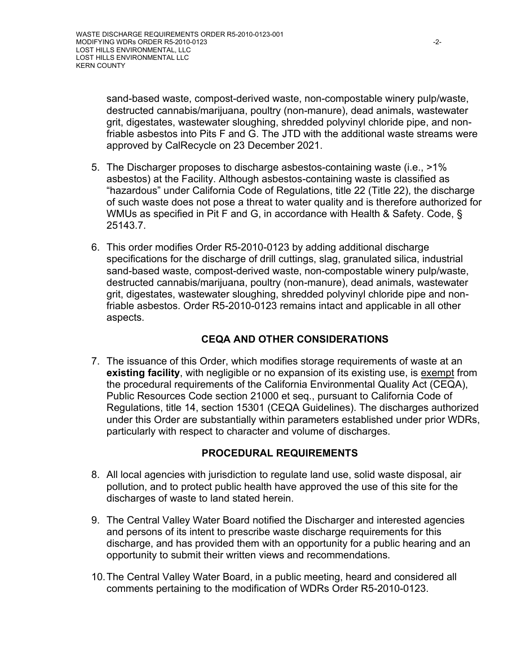sand-based waste, compost-derived waste, non-compostable winery pulp/waste, destructed cannabis/marijuana, poultry (non-manure), dead animals, wastewater grit, digestates, wastewater sloughing, shredded polyvinyl chloride pipe, and nonfriable asbestos into Pits F and G. The JTD with the additional waste streams were approved by CalRecycle on 23 December 2021.

- 5. The Discharger proposes to discharge asbestos-containing waste (i.e., >1% asbestos) at the Facility. Although asbestos-containing waste is classified as "hazardous" under California Code of Regulations, title 22 (Title 22), the discharge of such waste does not pose a threat to water quality and is therefore authorized for WMUs as specified in Pit F and G, in accordance with Health & Safety. Code, § 25143.7.
- 6. This order modifies Order R5-2010-0123 by adding additional discharge specifications for the discharge of drill cuttings, slag, granulated silica, industrial sand-based waste, compost-derived waste, non-compostable winery pulp/waste, destructed cannabis/marijuana, poultry (non-manure), dead animals, wastewater grit, digestates, wastewater sloughing, shredded polyvinyl chloride pipe and nonfriable asbestos. Order R5-2010-0123 remains intact and applicable in all other aspects.

# **CEQA AND OTHER CONSIDERATIONS**

7. The issuance of this Order, which modifies storage requirements of waste at an **existing facility**, with negligible or no expansion of its existing use, is exempt from the procedural requirements of the California Environmental Quality Act (CEQA), Public Resources Code section 21000 et seq., pursuant to California Code of Regulations, title 14, section 15301 (CEQA Guidelines). The discharges authorized under this Order are substantially within parameters established under prior WDRs, particularly with respect to character and volume of discharges.

## **PROCEDURAL REQUIREMENTS**

- 8. All local agencies with jurisdiction to regulate land use, solid waste disposal, air pollution, and to protect public health have approved the use of this site for the discharges of waste to land stated herein.
- 9. The Central Valley Water Board notified the Discharger and interested agencies and persons of its intent to prescribe waste discharge requirements for this discharge, and has provided them with an opportunity for a public hearing and an opportunity to submit their written views and recommendations.
- 10.The Central Valley Water Board, in a public meeting, heard and considered all comments pertaining to the modification of WDRs Order R5-2010-0123.